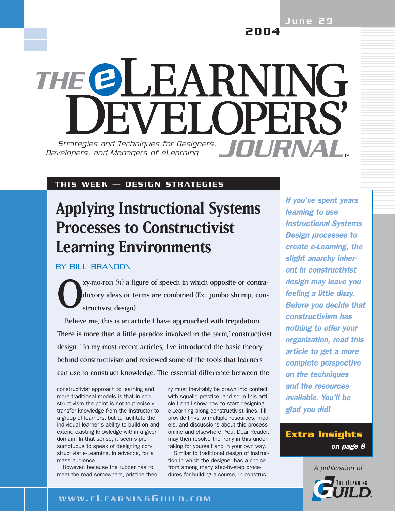June 29

2004

# THE @LEARNING **WEI OPERS** Strategies and Techniques for Designers, **JOURNAL** *Developers, and Managers of eLearning*

#### THIS WEEK — DESIGN STRATEGIES

## **Applying Instructional Systems Processes to Constructivist Learning Environments**

BY BILL BRANDON

 $xy$ .mo.ron  $(n)$  a figure of speech in which opposite or contradictory ideas or terms are combined (Ex.: jumbo shrimp, constructivist design)

Believe me, this is an article I have approached with trepidation. There is more than a little paradox involved in the term,"constructivist design." In my most recent articles, I've introduced the basic theory behind constructivism and reviewed some of the tools that learners can use to construct knowledge. The essential difference between the

constructivist approach to learning and more traditional models is that in constructivism the point is not to precisely transfer knowledge from the instructor to a group of learners, but to facilitate the individual learner's ability to build on and extend existing knowledge within a given domain. In that sense, it seems presumptuous to speak of designing constructivist e-Learning, in advance, for a mass audience.

However, because the rubber has to meet the road somewhere, pristine theory must inevitably be drawn into contact with squalid practice, and so in this article I shall show how to start designing e-Learning along constructivist lines. I'll provide links to multiple resources, models, and discussions about this process online and elsewhere. You, Dear Reader, may then resolve the irony in this undertaking for yourself and in your own way.

Similar to traditional design of instruction in which the designer has a choice from among many step-by-step procedures for building a course, in construc*If you've spent years learning to use Instructional Systems Design processes to create e-Learning, the slight anarchy inherent in constructivist design may leave you feeling a little dizzy. Before you decide that constructivism has nothing to offer your organization, read this article to get a more complete perspective on the techniques and the resources available. You'll be glad you did!*

### **Extra Insights** *on page 8*

*A publication of*



#### WWW.E L EARNING G UILD.COM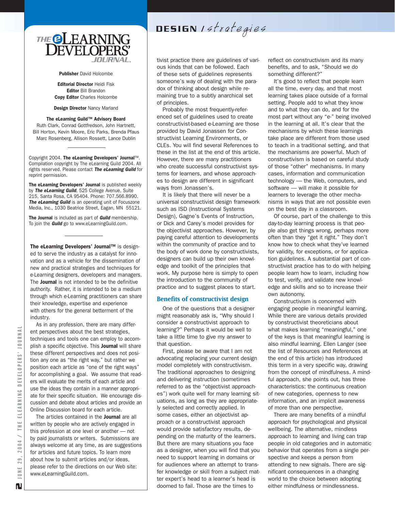

Publisher David Holcombe

Editorial Director Heidi Fisk Editor Bill Brandon Copy Editor Charles Holcombe

Design Director Nancy Marland

#### The eLearning Guild™ Advisory Board

Ruth Clark, Conrad Gottfredson, John Hartnett, Bill Horton, Kevin Moore, Eric Parks, Brenda Pfaus Marc Rosenberg, Allison Rossett, Lance Dublin

Copyright 2004. The eLearning Developers' Journal™. Compilation copyright by The eLearning Guild 2004. All rights reserved. Please contact *The eLearning Guild* for reprint permission.

The eLearning Developers' Journal is published weekly by *The eLearning Guild*, 525 College Avenue, Suite 215, Santa Rosa, CA 95404. Phone: 707.566.8990. *The eLearning Guild* is an operating unit of Focuszone Media, Inc., 1030 Beatrice Street, Eagan, MN 55121.

The Journal is included as part of *Guild* membership. To join the *Guild* go to www.eLearningGuild.com.

The eLearning Developers' Journal™ is designed to serve the industry as a catalyst for innovation and as a vehicle for the dissemination of new and practical strategies and techniques for e-Learning designers, developers and managers. The **Journal** is not intended to be the definitive authority. Rather, it is intended to be a medium through which e-Learning practitioners can share their knowledge, expertise and experience with others for the general betterment of the industry.

As in any profession, there are many different perspectives about the best strategies, techniques and tools one can employ to accomplish a specific objective. This **Journal** will share these different perspectives and does not position any one as "the right way," but rather we position each article as "one of the right ways" for accomplishing a goal. We assume that readers will evaluate the merits of each article and use the ideas they contain in a manner appropriate for their specific situation. We encourage discussion and debate about articles and provide an Online Discussion board for each article.

The articles contained in the **Journal** are all written by people who are actively engaged in this profession at one level or another — not by paid journalists or writers. Submissions are always welcome at any time, as are suggestions for articles and future topics. To learn more about how to submit articles and/or ideas, please refer to the directions on our Web site: www.eLearningGuild.com.

DESIGN Istrategies

tivist practice there are guidelines of various kinds that can be followed. Each of these sets of guidelines represents someone's way of dealing with the paradox of thinking about design while remaining true to a subtly anarchical set of principles.

Probably the most frequently-referenced set of guidelines used to create constructivist-based e-Learning are those provided by David Jonassen for Constructivist Learning Environments, or CLEs. You will find several References to these in the list at the end of this article. However, there are many practitioners who create successful constructivist systems for learners, and whose approaches to design are different in significant ways from Jonassen's.

It is likely that there will never be a universal constructivist design framework such as ISD (Instructional Systems Design), Gagne's Events of Instruction, or Dick and Carey's model provides for the objectivist approaches. However, by paying careful attention to developments within the community of practice and to the body of work done by constructivists, designers can build up their own knowledge and toolkit of the principles that work. My purpose here is simply to open the introduction to the community of practice and to suggest places to start.

#### **Benefits of constructivist design**

One of the questions that a designer might reasonably ask is, "Why should I consider a constructivist approach to learning?" Perhaps it would be well to take a little time to give my answer to that question.

First, please be aware that I am not advocating replacing your current design model completely with constructivism. The traditional approaches to designing and delivering instruction (sometimes referred to as the "objectivist approaches") work quite well for many learning situations, as long as they are appropriately selected and correctly applied. In some cases, either an objectivist approach or a constructivist approach would provide satisfactory results, depending on the maturity of the learners. But there are many situations you face as a designer, when you will find that you need to support learning in domains or for audiences where an attempt to transfer knowledge or skill from a subject matter expert's head to a learner's head is doomed to fail. Those are the times to

reflect on constructivism and its many benefits, and to ask, "Should we do something different?"

It's good to reflect that people learn all the time, every day, and that most learning takes place outside of a formal setting. People add to what they know and to what they can do, and for the most part without any "e-" being involved in the learning at all. It's clear that the mechanisms by which these learnings take place are different from those used to teach in a traditional setting, and that the mechanisms are powerful. Much of constructivism is based on careful study of those "other" mechanisms. In many cases, information and communication technology — the Web, computers, and software — will make it possible for learners to leverage the other mechanisms in ways that are not possible even on the best day in a classroom.

Of course, part of the challenge to this day-to-day learning process is that people also get things wrong, perhaps more often than they "get it right." They don't know how to check what they've learned for validity, for exceptions, or for application guidelines. A substantial part of constructivist practice has to do with helping people learn how to learn, including how to test, verify, and validate new knowledge and skills and so to increase their own autonomy.

Constructivism is concerned with engaging people in meaningful learning. While there are various details provided by constructivist theoreticians about what makes learning "meaningful," one of the keys is that meaningful learning is also mindful learning. Ellen Langer (see the list of Resources and References at the end of this article) has introduced this term in a very specific way, drawing from the concept of mindfulness. A mindful approach, she points out, has three characteristics: the continuous creation of new categories, openness to new information, and an implicit awareness of more than one perspective.

There are many benefits of a mindful approach for psychological and physical wellbeing. The alternative, mindless approach to learning and living can trap people in old categories and in automatic behavior that operates from a single perspective and keeps a person from attending to new signals. There are significant consequences in a changing world to the choice between adopting either mindfulness or mindlessness.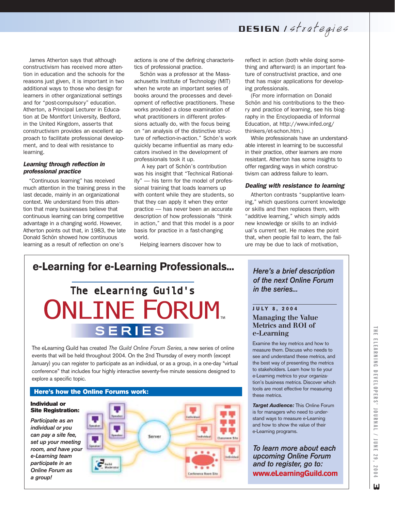DESIGN Istrategies

James Atherton says that although constructivism has received more attention in education and the schools for the reasons just given, it is important in two additional ways to those who design for learners in other organizational settings and for "post-compulsory" education. Atherton, a Principal Lecturer in Education at De Montfort University, Bedford, in the United Kingdom, asserts that constructivism provides an excellent approach to facilitate professional development, and to deal with resistance to learning.

#### *Learning through reflection in professional practice*

"Continuous learning" has received much attention in the training press in the last decade, mainly in an organizational context. We understand from this attention that many businesses believe that continuous learning can bring competitive advantage in a changing world. However, Atherton points out that, in 1983, the late Donald Schön showed how continuous learning as a result of reflection on one's

actions is one of the defining characteristics of professional practice.

Schön was a professor at the Massachusetts Institute of Technology (MIT) when he wrote an important series of books around the processes and development of reflective practitioners. These works provided a close examination of what practitioners in different professions actually do, with the focus being on "an analysis of the distinctive structure of reflection-in-action." Schön's work quickly became influential as many educators involved in the development of professionals took it up.

A key part of Schön's contribution was his insight that "Technical Rationality" — his term for the model of professional training that loads learners up with content while they are students, so that they can apply it when they enter practice — has never been an accurate description of how professionals "think in action," and that this model is a poor basis for practice in a fast-changing world.

Helping learners discover how to

reflect in action (both while doing something and afterward) is an important feature of constructivist practice, and one that has major applications for developing professionals.

(For more information on Donald Schön and his contributions to the theory and practice of learning, see his biography in the Encyclopaedia of Informal Education, at http://www.infed.org/ thinkers/et-schon.htm.)

While professionals have an understandable interest in learning to be successful in their practice, other learners are more resistant. Atherton has some insights to offer regarding ways in which constructivism can address failure to learn.

#### *Dealing with resistance to learning*

Atherton contrasts "supplantive learning," which questions current knowledge or skills and then replaces them, with "additive learning," which simply adds new knowledge or skills to an individual's current set. He makes the point that, when people fail to learn, the failure may be due to lack of motivation,

## **e-Learning for e-Learning Professionals...** The eLearning Guild's **ONLINE FORUM.**

## **SERIES**

The eLearning Guild has created *The Guild Online Forum Series*, a new series of online events that will be held throughout 2004. On the 2nd Thursday of every month (except January) you can register to participate as an individual, or as a group, in a one-day "virtual conference" that includes four highly interactive seventy-five minute sessions designed to explore a specific topic.



*Here's a brief description of the next Online Forum in the series...*

#### **J U LY 8, 2004 Managing the Value Metrics and ROI of e-Learning**

Examine the key metrics and how to measure them. Discuss who needs to see and understand these metrics, and the best way of presenting the metrics to stakeholders. Learn how to tie your e-Learning metrics to your organization's business metrics. Discover which tools are most effective for measuring these metrics.

**Target Audience:** This Online Forum is for managers who need to understand ways to measure e-Learning and how to show the value of their e-Learning programs.

*To learn more about each upcoming Online Forum and to register, go to:* **www.eLearningGuild.com**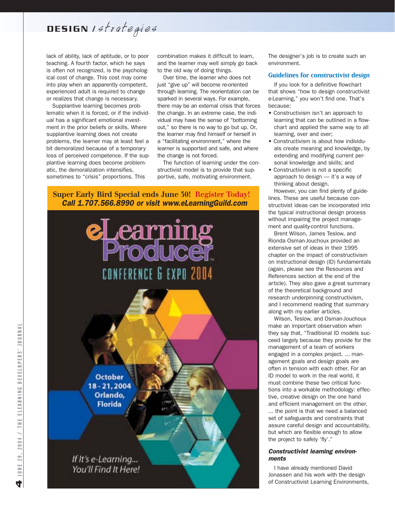## DESIGN Istrategies

lack of ability, lack of aptitude, or to poor teaching. A fourth factor, which he says is often not recognized, is the psychological cost of change. This cost may come into play when an apparently competent, experienced adult is required to change or realizes that change is necessary.

Supplantive learning becomes problematic when it is forced, or if the individual has a significant emotional investment in the prior beliefs or skills. Where supplantive learning does not create problems, the learner may at least feel a bit demoralized because of a temporary loss of perceived competence. If the supplantive learning does become problematic, the demoralization intensifies, sometimes to "crisis" proportions. This

combination makes it difficult to learn, and the learner may well simply go back to the old way of doing things.

Over time, the learner who does not just "give up" will become re-oriented through learning. The reorientation can be sparked in several ways. For example, there may be an external crisis that forces the change. In an extreme case, the individual may have the sense of "bottoming out," so there is no way to go but up. Or, the learner may find himself or herself in a "facilitating environment," where the learner is supported and safe, and where the change is not forced.

The function of learning under the constructivist model is to provide that supportive, safe, motivating environment.

#### **Super Early Bird Special ends June 30! Register Today!** *Call 1.707.566.8990 or visit www.eLearningGuild.com*



The designer's job is to create such an environment.

#### **Guidelines for constructivist design**

If you look for a definitive flowchart that shows "how to design constructivist e-Learning," you won't find one. That's because:

- Constructivism isn't an approach to learning that can be outlined in a flowchart and applied the same way to all learning, over and over;
- Constructivism is about how individuals create meaning and knowledge, by extending and modifying current personal knowledge and skills; and
- Constructivism is not a specific approach to design — it's a way of thinking about design.

However, you can find plenty of guidelines. These are useful because constructivist ideas can be incorporated into the typical instructional design process without impairing the project management and quality-control functions.

Brent Wilson, James Teslow, and Rionda Osman-Jouchoux provided an extensive set of ideas in their 1995 chapter on the impact of constructivism on instructional design (ID) fundamentals (again, please see the Resources and References section at the end of the article). They also gave a great summary of the theoretical background and research underpinning constructivism, and I recommend reading that summary along with my earlier articles.

Wilson, Teslow, and Osman-Jouchoux make an important observation when they say that, "Traditional ID models succeed largely because they provide for the management of a team of workers engaged in a complex project. ... management goals and design goals are often in tension with each other. For an ID model to work in the real world, it must combine these two critical functions into a workable methodology: effective, creative design on the one hand and efficient management on the other. ... the point is that we need a balanced set of safeguards and constraints that assure careful design and accountability, but which are flexible enough to allow the project to safely 'fly'."

#### *Constructivist learning environments*

I have already mentioned David Jonassen and his work with the design of Constructivist Learning Environments,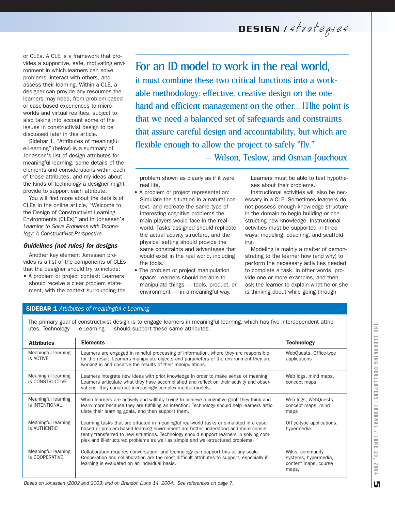DESIGN Istrategies

or CLEs. A CLE is a framework that provides a supportive, safe, motivating environment in which learners can solve problems, interact with others, and assess their learning. Within a CLE, a designer can provide any resources the learners may need, from problem-based or case-based experiences to microworlds and virtual realities, subject to also taking into account some of the issues in constructivist design to be discussed later in this article.

Sidebar 1, "Attributes of meaningful e-Learning" (below) is a summary of Jonassen's list of design attributes for meaningful learning, some details of the elements and considerations within each of those attributes, and my ideas about the kinds of technology a designer might provide to support each attribute.

You will find more about the details of CLEs in the online article, "Welcome to the Design of Constructivist Learning Environments (CLEs)" and in Jonassen's *Learning to Solve Problems with Technology: A Constructivist Perspective*.

#### *Guidelines (not rules) for designs*

Another key element Jonassen provides is a list of the components of CLEs that the designer should try to include:

• A problem or project context: Learners should receive a clear problem statement, with the context surrounding the

### For an ID model to work in the real world,

it must combine these two critical functions into a workable methodology: effective, creative design on the one hand and efficient management on the other... [T]he point is that we need a balanced set of safeguards and constraints that assure careful design and accountability, but which are flexible enough to allow the project to safely "fly."

— Wilson, Teslow, and Osman-Jouchoux

problem shown as clearly as if it were real life.

- A problem or project representation: Simulate the situation in a natural context, and recreate the same type of interesting cognitive problems the main players would face in the real world. Tasks assigned should replicate the actual activity structure, and the physical setting should provide the same constraints and advantages that would exist in the real world, including the tools.
- The problem or project manipulation space: Learners should be able to manipulate things — tools, product, or environment — in a meaningful way.

Learners must be able to test hypotheses about their problems.

Instructional activities will also be necessary in a CLE. Sometimes learners do not possess enough knowledge structure in the domain to begin building or constructing new knowledge. Instructional activities must be supported in three ways: modeling, coaching, and scaffolding.

Modeling is mainly a matter of demonstrating to the learner how (and why) to perform the necessary activities needed to complete a task. In other words, provide one or more examples, and then ask the learner to explain what he or she is thinking about while going through

#### SIDEBAR 1 *Attributes of meaningful e-Learning*

The primary goal of constructivist design is to engage learners in meaningful learning, which has five interdependent attributes. Technology — e-Learning — should support these same attributes.

| <b>Attributes</b>                      | <b>Elements</b>                                                                                                                                                                                                                                                                                                                                               | <b>Technology</b>                                                         |  |
|----------------------------------------|---------------------------------------------------------------------------------------------------------------------------------------------------------------------------------------------------------------------------------------------------------------------------------------------------------------------------------------------------------------|---------------------------------------------------------------------------|--|
| Meaningful learning<br>is ACTIVE       | Learners are engaged in mindful processing of information, where they are responsible<br>for the result. Learners manipulate objects and parameters of the environment they are<br>working in and observe the results of their manipulations.                                                                                                                 | WebQuests, Office-type<br>applications                                    |  |
| Meaningful learning<br>is CONSTRUCTIVE | Learners integrate new ideas with prior knowledge in order to make sense or meaning.<br>Learners articulate what they have accomplished and reflect on their activity and obser-<br>vations: they construct increasingly complex mental models.                                                                                                               | Web logs, mind maps,<br>concept maps                                      |  |
| Meaningful learning<br>is INTENTIONAL  | When learners are actively and willfully trying to achieve a cognitive goal, they think and<br>learn more because they are fulfilling an intention. Technology should help learners artic-<br>ulate their learning goals, and then support them.                                                                                                              | Web logs, WebQuests,<br>concept maps, mind<br>maps                        |  |
| Meaningful learning<br>is AUTHENTIC    | Learning tasks that are situated in meaningful real-world tasks or simulated in a case-<br>based or problem-based learning environment are better understood and more consis-<br>tently transferred to new situations. Technology should support learners in solving com-<br>plex and ill-structured problems as well as simple and well-structured problems. |                                                                           |  |
| Meaningful learning<br>is COOPERATIVE  | Collaboration requires conversation, and technology can support this at any scale.<br>Cooperation and collaboration are the most difficult attributes to support, especially if<br>learning is evaluated on an individual basis.                                                                                                                              | Wikis, community<br>systems, hypermedia,<br>content maps, course<br>maps, |  |

*Based on Jonassen (2002 and 2003) and on Brandon (June 14, 2004). See references on page 7.*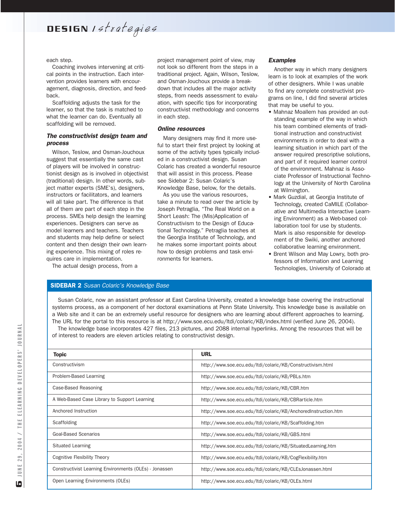DESIGN Istrategies

each step.

Coaching involves intervening at critical points in the instruction. Each intervention provides learners with encouragement, diagnosis, direction, and feedback.

Scaffolding adjusts the task for the learner, so that the task is matched to what the learner can do. Eventually all scaffolding will be removed.

#### *The constructivist design team and process*

Wilson, Teslow, and Osman-Jouchoux suggest that essentially the same cast of players will be involved in constructionist design as is involved in objectivist (traditional) design. In other words, subject matter experts (SME's), designers, instructors or facilitators, and learners will all take part. The difference is that all of them are part of each step in the process. SMEs help design the learning experiences. Designers can serve as model learners and teachers. Teachers and students may help define or select content and then design their own learning experience. This mixing of roles requires care in implementation.

The actual design process, from a

project management point of view, may not look so different from the steps in a traditional project. Again, Wilson, Teslow, and Osman-Jouchoux provide a breakdown that includes all the major activity steps, from needs assessment to evaluation, with specific tips for incorporating constructivist methodology and concerns in each step.

#### *Online resources*

Many designers may find it more useful to start their first project by looking at some of the activity types typically included in a constructivist design. Susan Colaric has created a wonderful resource that will assist in this process. Please see Sidebar 2: Susan Colaric's Knowledge Base, below, for the details.

As you use the various resources, take a minute to read over the article by Joseph Petraglia, "The Real World on a Short Leash: The (Mis)Application of Constructivism to the Design of Educational Technology." Petraglia teaches at the Georgia Institute of Technology, and he makes some important points about how to design problems and task environments for learners.

#### *Examples*

Another way in which many designers learn is to look at examples of the work of other designers. While I was unable to find any complete constructivist programs on line, I did find several articles that may be useful to you.

- Mahnaz Moallem has provided an outstanding example of the way in which his team combined elements of traditional instruction and constructivist environments in order to deal with a learning situation in which part of the answer required prescriptive solutions, and part of it required learner control of the environment. Mahnaz is Associate Professor of Instructional Technology at the University of North Carolina at Wilmington.
- Mark Guzdial, at Georgia Institute of Technology, created CaMILE (Collaborative and Multimedia Interactive Learning Environment) as a Web-based collaboration tool for use by students. Mark is also responsible for development of the Swiki, another anchored collaborative learning environment.
- Brent Wilson and May Lowry, both professors of Information and Learning Technologies, University of Colorado at

#### SIDEBAR 2 *Susan Colaric's Knowledge Base*

Susan Colaric, now an assistant professor at East Carolina University, created a knowledge base covering the instructional systems process, as a component of her doctoral examinations at Penn State University. This knowledge base is available on a Web site and it can be an extremely useful resource for designers who are learning about different approaches to learning. The URL for the portal to this resource is at http://www.soe.ecu.edu/ltdi/colaric/KB/index.html (verified June 26, 2004).

The knowledge base incorporates 427 files, 213 pictures, and 2088 internal hyperlinks. Among the resources that will be of interest to readers are eleven articles relating to constructivist design.

| <b>Topic</b>                                           | <b>URL</b>                                                     |  |
|--------------------------------------------------------|----------------------------------------------------------------|--|
| Constructivism                                         | http://www.soe.ecu.edu/ltdi/colaric/KB/Constructivism.html     |  |
| Problem-Based Learning                                 | http://www.soe.ecu.edu/ltdi/colaric/KB/PBLs.htm                |  |
| Case-Based Reasoning                                   | http://www.soe.ecu.edu/ltdi/colaric/KB/CBR.htm                 |  |
| A Web-Based Case Library to Support Learning           | http://www.soe.ecu.edu/ltdi/colaric/KB/CBRarticle.htm          |  |
| Anchored Instruction                                   | http://www.soe.ecu.edu/ltdi/colaric/KB/AnchoredInstruction.htm |  |
| Scaffolding                                            | http://www.soe.ecu.edu/ltdi/colaric/KB/Scaffolding.htm         |  |
| <b>Goal-Based Scenarios</b>                            | http://www.soe.ecu.edu/ltdi/colaric/KB/GBS.html                |  |
| <b>Situated Learning</b>                               | http://www.soe.ecu.edu/ltdi/colaric/KB/SituatedLearning.htm    |  |
| <b>Cognitive Flexibility Theory</b>                    | http://www.soe.ecu.edu/ltdi/colaric/KB/CogFlexibility.htm      |  |
| Constructivist Learning Environments (OLEs) - Jonassen | http://www.soe.ecu.edu/ltdi/colaric/KB/CLEsJonassen.html       |  |
| Open Learning Environments (OLEs)                      | http://www.soe.ecu.edu/ltdi/colaric/KB/OLEs.html               |  |
|                                                        |                                                                |  |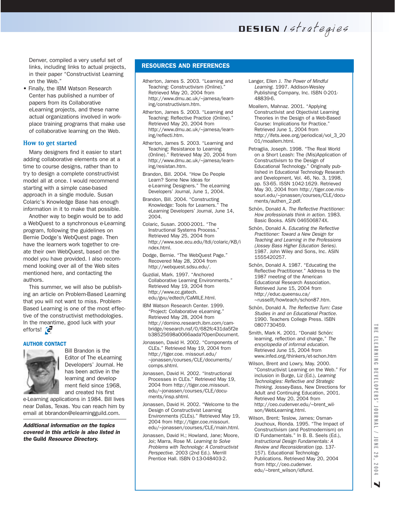DESIGN Istrategies

Denver, compiled a very useful set of links, including links to actual projects, in their paper "Constructivist Learning on the Web."

• Finally, the IBM Watson Research Center has published a number of papers from its Collaborative eLearning projects, and these name actual organizations involved in workplace training programs that make use of collaborative learning on the Web.

#### **How to get started**

Many designers find it easier to start adding collaborative elements one at a time to course designs, rather than to try to design a complete constructivist model all at once. I would recommend starting with a simple case-based approach in a single module. Susan Colaric's Knowledge Base has enough information in it to make that possible.

Another way to begin would be to add a WebQuest to a synchronous e-Learning program, following the guidelines on Bernie Dodge's WebQuest page. Then have the learners work together to create their own WebQuest, based on the model you have provided. I also recommend looking over all of the Web sites mentioned here, and contacting the authors.

This summer, we will also be publishing an article on Problem-Based Learning that you will not want to miss. Problem-Based Learning is one of the most effective of the constructivist methodologies. In the meantime, good luck with your efforts!

#### AUTHOR CONTACT



Bill Brandon is the Editor of The eLearning Developers' Journal. He has been active in the learning and development field since 1968, and created his first

e-Learning applications in 1984. Bill lives near Dallas, Texas. You can reach him by email at bbrandon@elearningguild.com.

*Additional information on the topics covered in this article is also listed in the* Guild *Resource Directory.*

#### RESOURCES AND REFERENCES

- Atherton, James S. 2003. "Learning and Teaching: Constructivism (Online).' Retrieved May 20, 2004 from http://www.dmu.ac.uk/~jamesa/learning/constructivism.htm.
- Atherton, James S. 2003. "Learning and Teaching: Reflective Practice (Online)." Retrieved May 20, 2004 from http://www.dmu.ac.uk/~jamesa/learning/reflecti.htm.
- Atherton, James S. 2003. "Learning and Teaching: Resistance to Learning (Online)." Retrieved May 20, 2004 from http://www.dmu.ac.uk/~jamesa/learning/resistan.htm.
- Brandon, Bill. 2004. "How Do People Learn? Some New Ideas for e-Learning Designers." The eLearning Developers' Journal, June 1, 2004.
- Brandon, Bill. 2004. "Constructing Knowledge: Tools for Learners." The eLearning Developers' Journal, June 14, 2004.
- Colaric, Susan. 2000-2001. "The Instructional Systems Process." Retrieved May 25, 2004 from http://www.soe.ecu.edu/ltdi/colaric/KB/i ndex.html.
- Dodge, Bernie. "The WebQuest Page." Recovered May 28, 2004 from http://webquest.sdsu.edu/.
- Guzdial, Mark. 1997. "Anchored Collaborative Learning Environments." Retrieved May 19, 2004 from http://www.cc.gatech. edu/gvu/edtech/CaMILE.html.
- IBM Watson Research Center. 1999. "Project: Collaborative eLearning." Retrieved May 28, 2004 from http://domino.research.ibm.com/cambridge/research.nsf/0/682fc431da5f2e b38525698a0066aada?OpenDocument.
- Jonassen, David H. 2002. "Components of CLEs." Retrieved May 19, 2004 from http://tiger.coe. missouri.edu/ ~jonassen/courses/CLE/documents/ comps.shtml.
- Jonassen, David H. 2002. "Instructional Processes in CLEs." Retrieved May 19, 2004 from http://tiger.coe.missouri. edu/~jonassen/courses/CLE/documents/insp.shtml.
- Jonassen, David H. 2002. "Welcome to the Design of Constructivist Learning Environments (CLEs)." Retrieved May 19, 2004 from http://tiger.coe.missouri. edu/~jonassen/courses/CLE/main.html.
- Jonassen, David H.; Howland, Jane; Moore, Joi; Marra, Rose M. *Learning to Solve Problems with Technology: A Constructivist Perspective*. 2003 (2nd Ed.). Merrill Prentice Hall. ISBN 0-13-048403-2.
- Langer, Ellen J. *The Power of Mindful Learning*. 1997. Addison-Wesley Publishing Company, Inc. ISBN 0-201- 48839-6.
- Moallem, Mahnaz. 2001. "Applying Constructivist and Objectivist Learning Theories in the Design of a Web-Based Course: Implications for Practice." Retrieved June 1, 2004 from http://ifets.ieee.org/periodical/vol\_3\_20 01/moallem.html.
- Petraglia, Joseph. 1998. "The Real World on a Short Leash: The (Mis)Application of Constructivism to the Design of Educational Technology." Originally published in Educational Technology Research and Development, Vol. 46, No. 3, 1998, pp. 53-65. ISSN 1042-1629. Retrieved May 30, 2004 from http://tiger.coe.missouri.edu/~jonassen/courses/CLE/documents/authen\_2.pdf.
- Schön, Donald A. *The Reflective Practitioner: How professionals think in action*. 1983. Basic Books. ASIN 046506874X.
- Schön, Donald A. *Educating the Reflective Practitioner: Toward a New Design for Teaching and Learning in the Professions (Jossey Bass Higher Education Series)*. 1987. John Wiley and Sons, Inc. ASIN 1555420257.
- Schön, Donald A. 1987. "Educating the Reflective Practitioner." Address to the 1987 meeting of the American Educational Research Association. Retrieved June 15, 2004 from http://educ.queensu.ca/ ~russellt/howteach/schon87.htm.
- Schön, Donald A. *The Reflective Turn: Case Studies in and on Educational Practice*. 1990. Teachers College Press. ISBN 0807730459.
- Smith, Mark K. 2001. "Donald Schön: learning, reflection and change," *The encyclopedia of informal education*. Retrieved June 15, 2004 from www.infed.org/thinkers/et-schon.htm
- Wilson, Brent and Lowry, May. 2000. "Constructivist Learning on the Web." For inclusion in Burge, Liz (Ed.), *Learning Technologies: Reflective and Strategic Thinking*. Jossey-Bass, New Directions for Adult and Continuing Education, 2001. Retrieved May 20, 2004 from http://ceo.cudenver.edu/~brent\_wilson/WebLearning.html.
- Wilson, Brent; Teslow, James; Osman-Jouchoux, Rionda. 1995. "The Impact of Constructivism (and Postmodernism) on ID Fundamentals." In B. B. Seels (Ed.), *Instructional Design Fundamentals: A Review and Reconsideration* (pp. 137- 157). Educational Technology Publications. Retrieved May 20, 2004 from http://ceo.cudenver. edu/~brent\_wilson/idfund.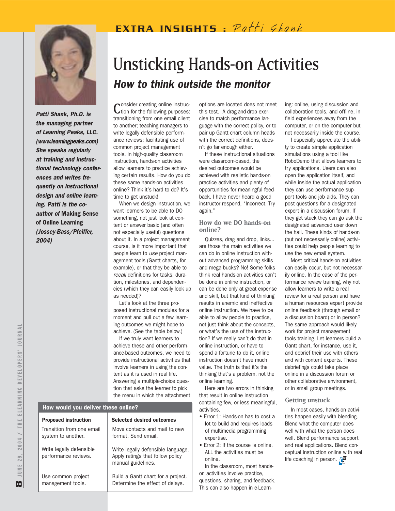## EXTRA INSIGHTS:  $PathS$



*Patti Shank, Ph.D. is the managing partner of Learning Peaks, LLC. (www.learningpeaks.com) She speaks regularly at training and instructional technology conferences and writes frequently on instructional design and online learning. Patti is the coauthor of* Making Sense of Online Learning *(Jossey-Bass/Pfeiffer, 2004)*

## Unsticking Hands-on Activities *How to think outside the monitor*

Consider creating online instruction for the following purposes: transitioning from one email client to another; teaching managers to write legally defensible performance reviews; facilitating use of common project management tools. In high-quality classroom instruction, hands-on activities allow learners to practice achieving certain results. How do you do these same hands-on activities online? Think it's hard to do? It's time to get unstuck!

When we design instruction, we want learners to be able to DO something, not just look at content or answer basic (and often not especially useful) questions about it. In a project management course, is it more important that people learn to *use* project management tools (Gantt charts, for example), or that they be able to *recall* definitions for tasks, duration, milestones, and dependencies (which they can easily look up as needed)?

Let's look at the three proposed instructional modules for a moment and pull out a few learning outcomes we might hope to achieve. (See the table below.)

If we truly want learners to achieve these and other performance-based outcomes, we need to provide instructional activities that involve learners in using the content as it is used in real life. Answering a multiple-choice question that asks the learner to pick the menu in which the attachment

#### How would you deliver these online?

| <b>Proposed instruction</b>                      | <b>Selected desired outcomes</b>                                                             |
|--------------------------------------------------|----------------------------------------------------------------------------------------------|
| Transition from one email<br>system to another.  | Move contacts and mail to new<br>format. Send email.                                         |
| Write legally defensible<br>performance reviews. | Write legally defensible language.<br>Apply ratings that follow policy<br>manual guidelines. |
| Use common project<br>management tools.          | Build a Gantt chart for a project.<br>Determine the effect of delays.                        |

options are located does not meet this test. A drag-and-drop exercise to match performance language with the correct policy, or to pair up Gantt chart column heads with the correct definitions, doesn't go far enough either.

If these instructional situations were classroom-based, the desired outcomes would be achieved with realistic hands-on practice activities and plenty of opportunities for meaningful feedback. I have never heard a good instructor respond, "Incorrect. Try again."

#### **How do we DO hands-on online?**

Quizzes, drag and drop, links... are those the main activities we can do in online instruction without advanced programming skills and mega bucks? No! Some folks think real hands-on activities can't be done in online instruction, or can be done only at great expense and skill, but that kind of thinking results in anemic and ineffective online instruction. We have to be able to allow people to practice, not just think about the concepts, or what's the use of the instruction? If we really can't do that in online instruction, or have to spend a fortune to do it, online instruction doesn't have much value. The truth is that it's the thinking that's a problem, not the online learning.

Here are two errors in thinking that result in online instruction containing few, or less meaningful, activities.

- Error 1: Hands-on has to cost a lot to build and requires loads of multimedia programming expertise.
- Frror 2: If the course is online. ALL the activities must be online.

In the classroom, most handson activities involve practice,

questions, sharing, and feedback. This can also happen in e-Learn-

ing: online, using discussion and collaboration tools, and offline, in field experiences away from the computer, or on the computer but not necessarily inside the course.

I especially appreciate the ability to create simple application simulations using a tool like RoboDemo that allows learners to try applications. Users can also open the application itself, and while inside the actual application they can use performance support tools and job aids. They can post questions for a designated expert in a discussion forum. If they get stuck they can go ask the designated advanced user down the hall. These kinds of hands-on (but not necessarily online) activities could help people learning to use the new email system.

Most critical hands-on activities can easily occur, but not necessarily online. In the case of the performance review training, why not allow learners to write a real review for a real person and have a human resources expert provide online feedback (through email or a discussion board) or in person? The same approach would likely work for project management tools training. Let learners build a Gantt chart, for instance, use it, and debrief their use with others and with content experts. These debriefings could take place online in a discussion forum or other collaborative environment, or in small group meetings.

#### **Getting unstuck**

In most cases, hands-on activities happen easily with blending. Blend what the computer does well with what the person does well. Blend performance support and real applications. Blend conceptual instruction online with real life coaching in person.  $\epsilon$